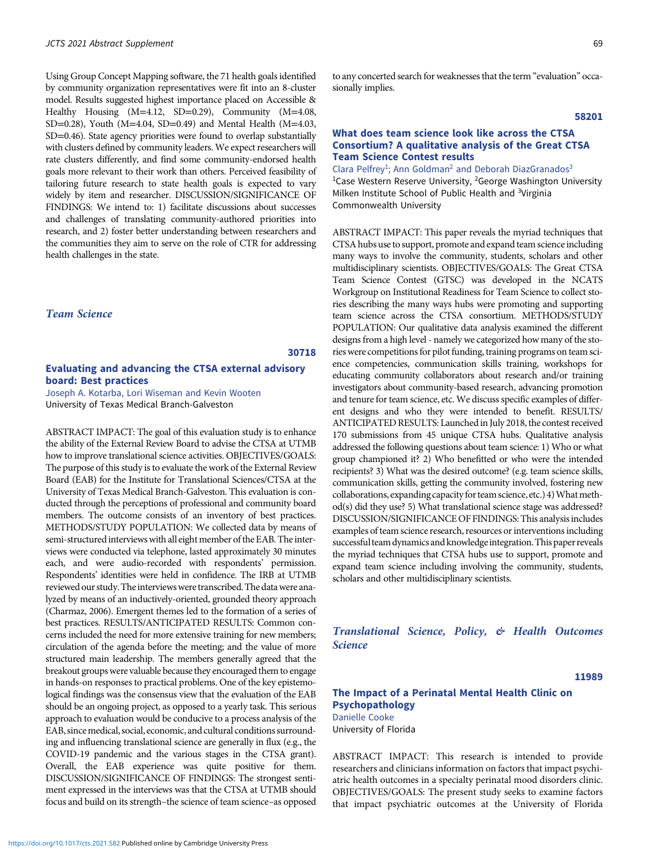Using Group Concept Mapping software, the 71 health goals identified by community organization representatives were fit into an 8-cluster model. Results suggested highest importance placed on Accessible & Healthy Housing (M=4.12, SD=0.29), Community (M=4.08, SD=0.28), Youth (M=4.04, SD=0.49) and Mental Health (M=4.03, SD=0.46). State agency priorities were found to overlap substantially with clusters defined by community leaders. We expect researchers will rate clusters differently, and find some community-endorsed health goals more relevant to their work than others. Perceived feasibility of tailoring future research to state health goals is expected to vary widely by item and researcher. DISCUSSION/SIGNIFICANCE OF FINDINGS: We intend to: 1) facilitate discussions about successes and challenges of translating community-authored priorities into research, and 2) foster better understanding between researchers and the communities they aim to serve on the role of CTR for addressing health challenges in the state.

# Team Science

#### 30718

## Evaluating and advancing the CTSA external advisory board: Best practices

Joseph A. Kotarba, Lori Wiseman and Kevin Wooten University of Texas Medical Branch-Galveston

ABSTRACT IMPACT: The goal of this evaluation study is to enhance the ability of the External Review Board to advise the CTSA at UTMB how to improve translational science activities. OBJECTIVES/GOALS: The purpose of this study is to evaluate the work of the External Review Board (EAB) for the Institute for Translational Sciences/CTSA at the University of Texas Medical Branch-Galveston. This evaluation is conducted through the perceptions of professional and community board members. The outcome consists of an inventory of best practices. METHODS/STUDY POPULATION: We collected data by means of semi-structured interviews with all eight member of the EAB. The interviews were conducted via telephone, lasted approximately 30 minutes each, and were audio-recorded with respondents' permission. Respondents' identities were held in confidence. The IRB at UTMB reviewed our study. The interviews were transcribed. The data were analyzed by means of an inductively-oriented, grounded theory approach (Charmaz, 2006). Emergent themes led to the formation of a series of best practices. RESULTS/ANTICIPATED RESULTS: Common concerns included the need for more extensive training for new members; circulation of the agenda before the meeting; and the value of more structured main leadership. The members generally agreed that the breakout groups were valuable because they encouraged them to engage in hands-on responses to practical problems. One of the key epistemological findings was the consensus view that the evaluation of the EAB should be an ongoing project, as opposed to a yearly task. This serious approach to evaluation would be conducive to a process analysis of the EAB, since medical, social, economic, and cultural conditions surrounding and influencing translational science are generally in flux (e.g., the COVID-19 pandemic and the various stages in the CTSA grant). Overall, the EAB experience was quite positive for them. DISCUSSION/SIGNIFICANCE OF FINDINGS: The strongest sentiment expressed in the interviews was that the CTSA at UTMB should focus and build on its strength–the science of team science–as opposed

#### 58201

### What does team science look like across the CTSA Consortium? A qualitative analysis of the Great CTSA Team Science Contest results

Clara Pelfrey<sup>1</sup>; Ann Goldman<sup>2</sup> and Deborah DiazGranados<sup>3</sup> <sup>1</sup>Case Western Reserve University, <sup>2</sup>George Washington University Milken Institute School of Public Health and <sup>3</sup>Virginia Commonwealth University

ABSTRACT IMPACT: This paper reveals the myriad techniques that CTSA hubs use to support, promote and expand team science including many ways to involve the community, students, scholars and other multidisciplinary scientists. OBJECTIVES/GOALS: The Great CTSA Team Science Contest (GTSC) was developed in the NCATS Workgroup on Institutional Readiness for Team Science to collect stories describing the many ways hubs were promoting and supporting team science across the CTSA consortium. METHODS/STUDY POPULATION: Our qualitative data analysis examined the different designs from a high level - namely we categorized how many of the stories were competitions for pilot funding, training programs on team science competencies, communication skills training, workshops for educating community collaborators about research and/or training investigators about community-based research, advancing promotion and tenure for team science, etc. We discuss specific examples of different designs and who they were intended to benefit. RESULTS/ ANTICIPATED RESULTS: Launched in July 2018, the contest received 170 submissions from 45 unique CTSA hubs. Qualitative analysis addressed the following questions about team science: 1) Who or what group championed it? 2) Who benefitted or who were the intended recipients? 3) What was the desired outcome? (e.g. team science skills, communication skills, getting the community involved, fostering new collaborations, expanding capacity for team science, etc.) 4) What method(s) did they use? 5) What translational science stage was addressed? DISCUSSION/SIGNIFICANCE OF FINDINGS: This analysis includes examples of team science research, resources or interventions including successful team dynamics andknowledgeintegration.This paper reveals the myriad techniques that CTSA hubs use to support, promote and expand team science including involving the community, students, scholars and other multidisciplinary scientists.

Translational Science, Policy, & Health Outcomes Science

11989

# The Impact of a Perinatal Mental Health Clinic on Psychopathology Danielle Cooke

University of Florida

ABSTRACT IMPACT: This research is intended to provide researchers and clinicians information on factors that impact psychiatric health outcomes in a specialty perinatal mood disorders clinic. OBJECTIVES/GOALS: The present study seeks to examine factors that impact psychiatric outcomes at the University of Florida